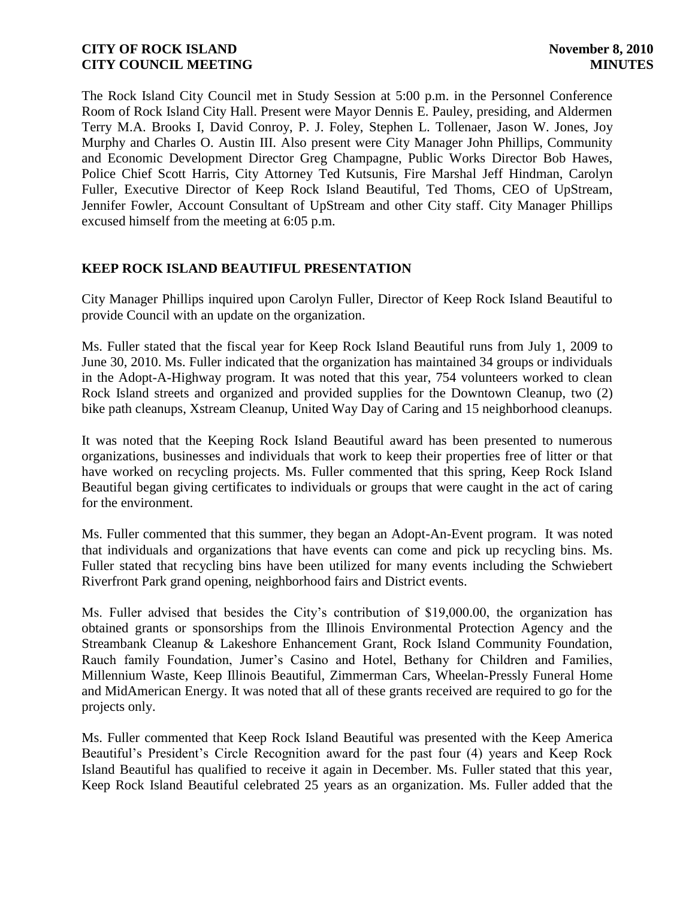The Rock Island City Council met in Study Session at 5:00 p.m. in the Personnel Conference Room of Rock Island City Hall. Present were Mayor Dennis E. Pauley, presiding, and Aldermen Terry M.A. Brooks I, David Conroy, P. J. Foley, Stephen L. Tollenaer, Jason W. Jones, Joy Murphy and Charles O. Austin III. Also present were City Manager John Phillips, Community and Economic Development Director Greg Champagne, Public Works Director Bob Hawes, Police Chief Scott Harris, City Attorney Ted Kutsunis, Fire Marshal Jeff Hindman, Carolyn Fuller, Executive Director of Keep Rock Island Beautiful, Ted Thoms, CEO of UpStream, Jennifer Fowler, Account Consultant of UpStream and other City staff. City Manager Phillips excused himself from the meeting at 6:05 p.m.

## **KEEP ROCK ISLAND BEAUTIFUL PRESENTATION**

City Manager Phillips inquired upon Carolyn Fuller, Director of Keep Rock Island Beautiful to provide Council with an update on the organization.

Ms. Fuller stated that the fiscal year for Keep Rock Island Beautiful runs from July 1, 2009 to June 30, 2010. Ms. Fuller indicated that the organization has maintained 34 groups or individuals in the Adopt-A-Highway program. It was noted that this year, 754 volunteers worked to clean Rock Island streets and organized and provided supplies for the Downtown Cleanup, two (2) bike path cleanups, Xstream Cleanup, United Way Day of Caring and 15 neighborhood cleanups.

It was noted that the Keeping Rock Island Beautiful award has been presented to numerous organizations, businesses and individuals that work to keep their properties free of litter or that have worked on recycling projects. Ms. Fuller commented that this spring, Keep Rock Island Beautiful began giving certificates to individuals or groups that were caught in the act of caring for the environment.

Ms. Fuller commented that this summer, they began an Adopt-An-Event program. It was noted that individuals and organizations that have events can come and pick up recycling bins. Ms. Fuller stated that recycling bins have been utilized for many events including the Schwiebert Riverfront Park grand opening, neighborhood fairs and District events.

Ms. Fuller advised that besides the City's contribution of \$19,000.00, the organization has obtained grants or sponsorships from the Illinois Environmental Protection Agency and the Streambank Cleanup & Lakeshore Enhancement Grant, Rock Island Community Foundation, Rauch family Foundation, Jumer's Casino and Hotel, Bethany for Children and Families, Millennium Waste, Keep Illinois Beautiful, Zimmerman Cars, Wheelan-Pressly Funeral Home and MidAmerican Energy. It was noted that all of these grants received are required to go for the projects only.

Ms. Fuller commented that Keep Rock Island Beautiful was presented with the Keep America Beautiful's President's Circle Recognition award for the past four (4) years and Keep Rock Island Beautiful has qualified to receive it again in December. Ms. Fuller stated that this year, Keep Rock Island Beautiful celebrated 25 years as an organization. Ms. Fuller added that the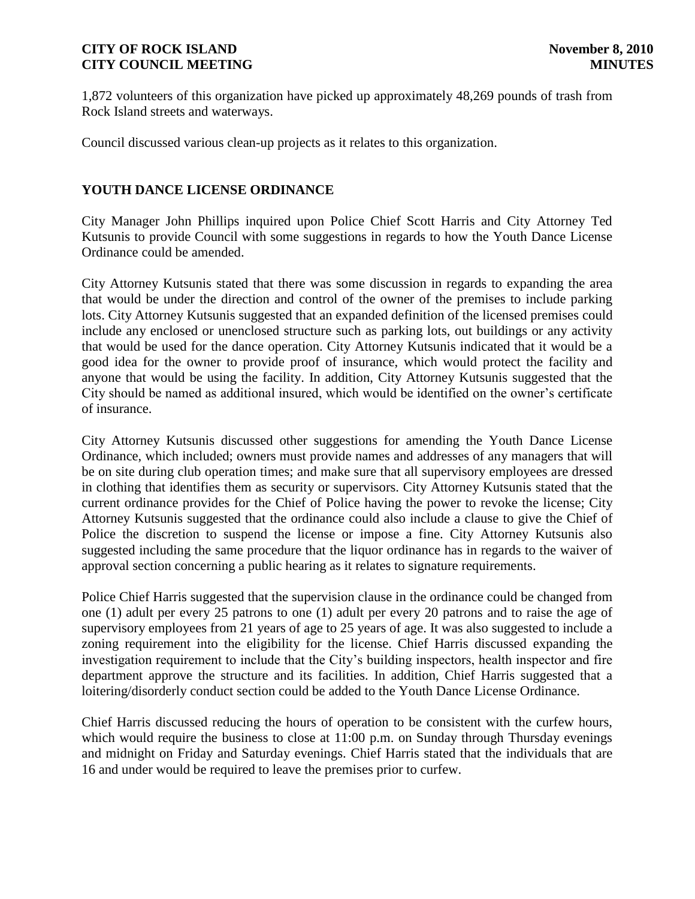1,872 volunteers of this organization have picked up approximately 48,269 pounds of trash from Rock Island streets and waterways.

Council discussed various clean-up projects as it relates to this organization.

# **YOUTH DANCE LICENSE ORDINANCE**

City Manager John Phillips inquired upon Police Chief Scott Harris and City Attorney Ted Kutsunis to provide Council with some suggestions in regards to how the Youth Dance License Ordinance could be amended.

City Attorney Kutsunis stated that there was some discussion in regards to expanding the area that would be under the direction and control of the owner of the premises to include parking lots. City Attorney Kutsunis suggested that an expanded definition of the licensed premises could include any enclosed or unenclosed structure such as parking lots, out buildings or any activity that would be used for the dance operation. City Attorney Kutsunis indicated that it would be a good idea for the owner to provide proof of insurance, which would protect the facility and anyone that would be using the facility. In addition, City Attorney Kutsunis suggested that the City should be named as additional insured, which would be identified on the owner's certificate of insurance.

City Attorney Kutsunis discussed other suggestions for amending the Youth Dance License Ordinance, which included; owners must provide names and addresses of any managers that will be on site during club operation times; and make sure that all supervisory employees are dressed in clothing that identifies them as security or supervisors. City Attorney Kutsunis stated that the current ordinance provides for the Chief of Police having the power to revoke the license; City Attorney Kutsunis suggested that the ordinance could also include a clause to give the Chief of Police the discretion to suspend the license or impose a fine. City Attorney Kutsunis also suggested including the same procedure that the liquor ordinance has in regards to the waiver of approval section concerning a public hearing as it relates to signature requirements.

Police Chief Harris suggested that the supervision clause in the ordinance could be changed from one (1) adult per every 25 patrons to one (1) adult per every 20 patrons and to raise the age of supervisory employees from 21 years of age to 25 years of age. It was also suggested to include a zoning requirement into the eligibility for the license. Chief Harris discussed expanding the investigation requirement to include that the City's building inspectors, health inspector and fire department approve the structure and its facilities. In addition, Chief Harris suggested that a loitering/disorderly conduct section could be added to the Youth Dance License Ordinance.

Chief Harris discussed reducing the hours of operation to be consistent with the curfew hours, which would require the business to close at 11:00 p.m. on Sunday through Thursday evenings and midnight on Friday and Saturday evenings. Chief Harris stated that the individuals that are 16 and under would be required to leave the premises prior to curfew.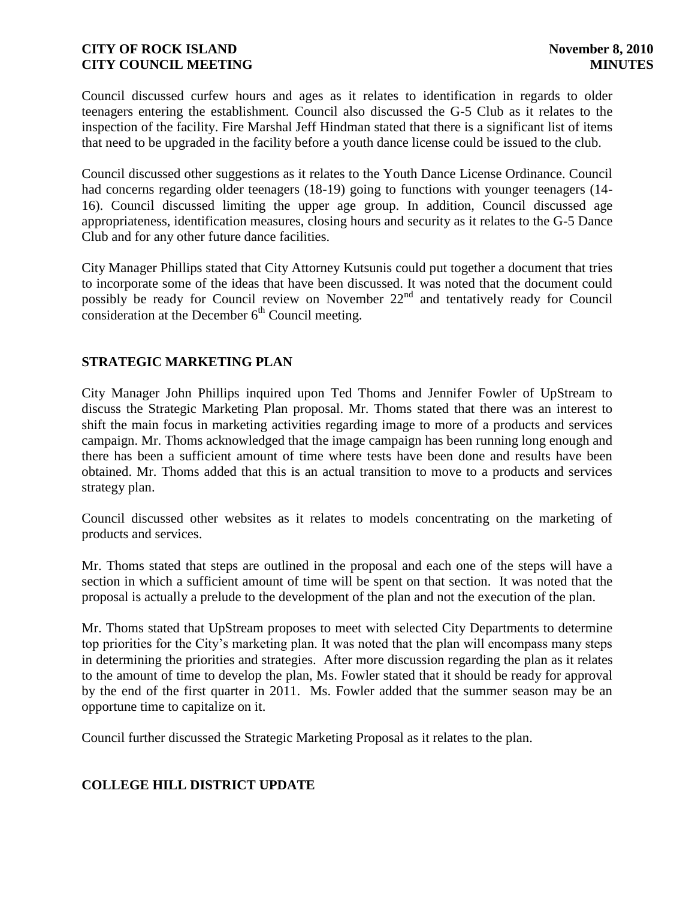Council discussed curfew hours and ages as it relates to identification in regards to older teenagers entering the establishment. Council also discussed the G-5 Club as it relates to the inspection of the facility. Fire Marshal Jeff Hindman stated that there is a significant list of items that need to be upgraded in the facility before a youth dance license could be issued to the club.

Council discussed other suggestions as it relates to the Youth Dance License Ordinance. Council had concerns regarding older teenagers (18-19) going to functions with younger teenagers (14- 16). Council discussed limiting the upper age group. In addition, Council discussed age appropriateness, identification measures, closing hours and security as it relates to the G-5 Dance Club and for any other future dance facilities.

City Manager Phillips stated that City Attorney Kutsunis could put together a document that tries to incorporate some of the ideas that have been discussed. It was noted that the document could possibly be ready for Council review on November  $22<sup>nd</sup>$  and tentatively ready for Council consideration at the December  $6<sup>th</sup>$  Council meeting.

# **STRATEGIC MARKETING PLAN**

City Manager John Phillips inquired upon Ted Thoms and Jennifer Fowler of UpStream to discuss the Strategic Marketing Plan proposal. Mr. Thoms stated that there was an interest to shift the main focus in marketing activities regarding image to more of a products and services campaign. Mr. Thoms acknowledged that the image campaign has been running long enough and there has been a sufficient amount of time where tests have been done and results have been obtained. Mr. Thoms added that this is an actual transition to move to a products and services strategy plan.

Council discussed other websites as it relates to models concentrating on the marketing of products and services.

Mr. Thoms stated that steps are outlined in the proposal and each one of the steps will have a section in which a sufficient amount of time will be spent on that section. It was noted that the proposal is actually a prelude to the development of the plan and not the execution of the plan.

Mr. Thoms stated that UpStream proposes to meet with selected City Departments to determine top priorities for the City's marketing plan. It was noted that the plan will encompass many steps in determining the priorities and strategies. After more discussion regarding the plan as it relates to the amount of time to develop the plan, Ms. Fowler stated that it should be ready for approval by the end of the first quarter in 2011. Ms. Fowler added that the summer season may be an opportune time to capitalize on it.

Council further discussed the Strategic Marketing Proposal as it relates to the plan.

# **COLLEGE HILL DISTRICT UPDATE**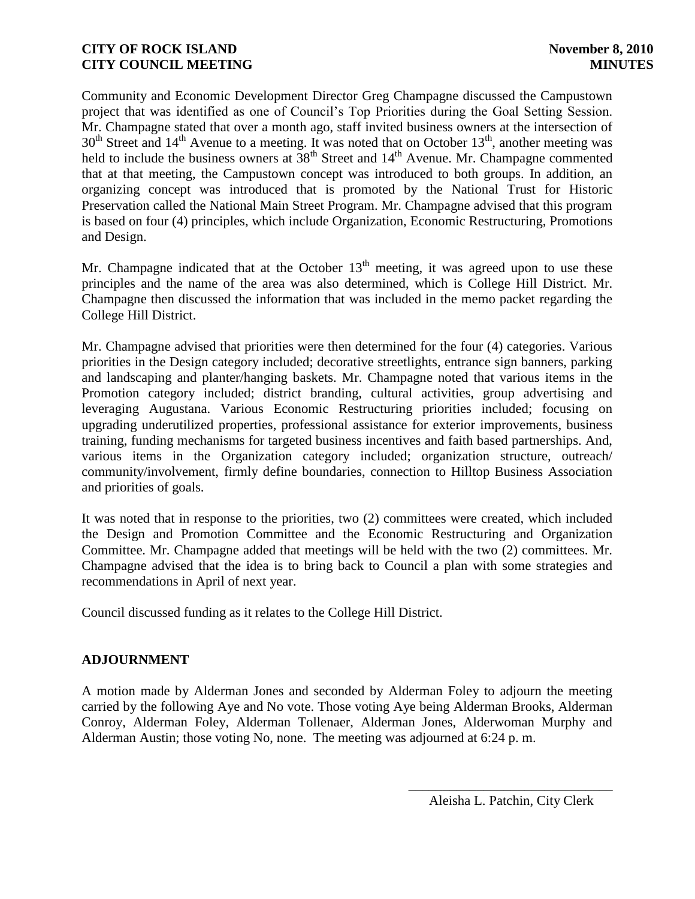Community and Economic Development Director Greg Champagne discussed the Campustown project that was identified as one of Council's Top Priorities during the Goal Setting Session. Mr. Champagne stated that over a month ago, staff invited business owners at the intersection of  $30<sup>th</sup>$  Street and  $14<sup>th</sup>$  Avenue to a meeting. It was noted that on October  $13<sup>th</sup>$ , another meeting was held to include the business owners at  $38<sup>th</sup>$  Street and  $14<sup>th</sup>$  Avenue. Mr. Champagne commented that at that meeting, the Campustown concept was introduced to both groups. In addition, an organizing concept was introduced that is promoted by the National Trust for Historic Preservation called the National Main Street Program. Mr. Champagne advised that this program is based on four (4) principles, which include Organization, Economic Restructuring, Promotions and Design.

Mr. Champagne indicated that at the October  $13<sup>th</sup>$  meeting, it was agreed upon to use these principles and the name of the area was also determined, which is College Hill District. Mr. Champagne then discussed the information that was included in the memo packet regarding the College Hill District.

Mr. Champagne advised that priorities were then determined for the four (4) categories. Various priorities in the Design category included; decorative streetlights, entrance sign banners, parking and landscaping and planter/hanging baskets. Mr. Champagne noted that various items in the Promotion category included; district branding, cultural activities, group advertising and leveraging Augustana. Various Economic Restructuring priorities included; focusing on upgrading underutilized properties, professional assistance for exterior improvements, business training, funding mechanisms for targeted business incentives and faith based partnerships. And, various items in the Organization category included; organization structure, outreach/ community/involvement, firmly define boundaries, connection to Hilltop Business Association and priorities of goals.

It was noted that in response to the priorities, two (2) committees were created, which included the Design and Promotion Committee and the Economic Restructuring and Organization Committee. Mr. Champagne added that meetings will be held with the two (2) committees. Mr. Champagne advised that the idea is to bring back to Council a plan with some strategies and recommendations in April of next year.

Council discussed funding as it relates to the College Hill District.

# **ADJOURNMENT**

A motion made by Alderman Jones and seconded by Alderman Foley to adjourn the meeting carried by the following Aye and No vote. Those voting Aye being Alderman Brooks, Alderman Conroy, Alderman Foley, Alderman Tollenaer, Alderman Jones, Alderwoman Murphy and Alderman Austin; those voting No, none. The meeting was adjourned at 6:24 p. m.

\_\_\_\_\_\_\_\_\_\_\_\_\_\_\_\_\_\_\_\_\_\_\_\_\_\_\_\_\_\_ Aleisha L. Patchin, City Clerk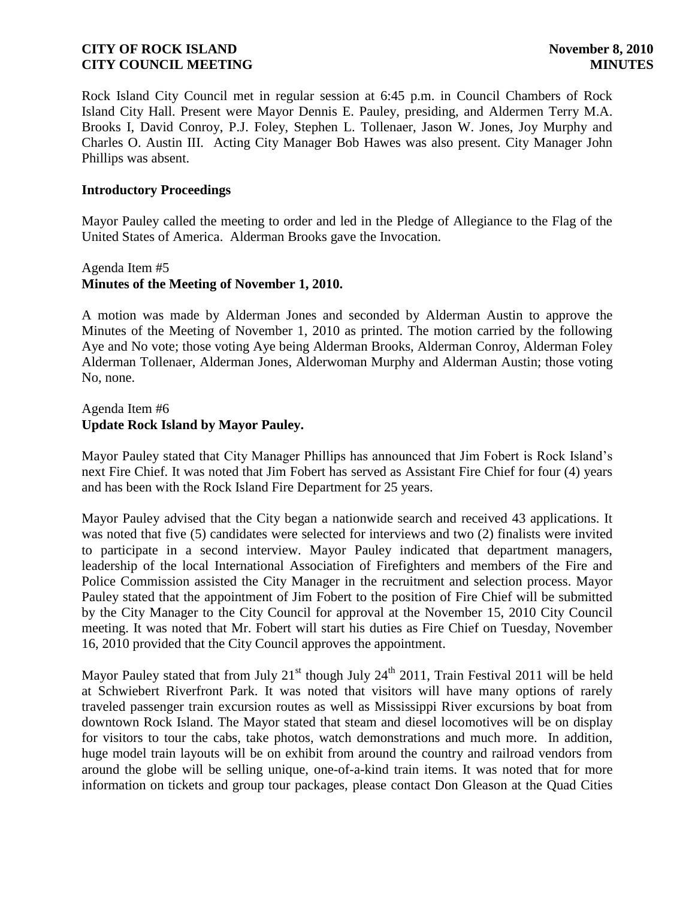Rock Island City Council met in regular session at 6:45 p.m. in Council Chambers of Rock Island City Hall. Present were Mayor Dennis E. Pauley, presiding, and Aldermen Terry M.A. Brooks I, David Conroy, P.J. Foley, Stephen L. Tollenaer, Jason W. Jones, Joy Murphy and Charles O. Austin III. Acting City Manager Bob Hawes was also present. City Manager John Phillips was absent.

#### **Introductory Proceedings**

Mayor Pauley called the meeting to order and led in the Pledge of Allegiance to the Flag of the United States of America. Alderman Brooks gave the Invocation.

# Agenda Item #5 **Minutes of the Meeting of November 1, 2010.**

A motion was made by Alderman Jones and seconded by Alderman Austin to approve the Minutes of the Meeting of November 1, 2010 as printed. The motion carried by the following Aye and No vote; those voting Aye being Alderman Brooks, Alderman Conroy, Alderman Foley Alderman Tollenaer, Alderman Jones, Alderwoman Murphy and Alderman Austin; those voting No, none.

## Agenda Item #6 **Update Rock Island by Mayor Pauley.**

Mayor Pauley stated that City Manager Phillips has announced that Jim Fobert is Rock Island's next Fire Chief. It was noted that Jim Fobert has served as Assistant Fire Chief for four (4) years and has been with the Rock Island Fire Department for 25 years.

Mayor Pauley advised that the City began a nationwide search and received 43 applications. It was noted that five (5) candidates were selected for interviews and two (2) finalists were invited to participate in a second interview. Mayor Pauley indicated that department managers, leadership of the local International Association of Firefighters and members of the Fire and Police Commission assisted the City Manager in the recruitment and selection process. Mayor Pauley stated that the appointment of Jim Fobert to the position of Fire Chief will be submitted by the City Manager to the City Council for approval at the November 15, 2010 City Council meeting. It was noted that Mr. Fobert will start his duties as Fire Chief on Tuesday, November 16, 2010 provided that the City Council approves the appointment.

Mayor Pauley stated that from July  $21^{st}$  though July  $24^{th}$  2011, Train Festival 2011 will be held at Schwiebert Riverfront Park. It was noted that visitors will have many options of rarely traveled passenger train excursion routes as well as Mississippi River excursions by boat from downtown Rock Island. The Mayor stated that steam and diesel locomotives will be on display for visitors to tour the cabs, take photos, watch demonstrations and much more. In addition, huge model train layouts will be on exhibit from around the country and railroad vendors from around the globe will be selling unique, one-of-a-kind train items. It was noted that for more information on tickets and group tour packages, please contact Don Gleason at the Quad Cities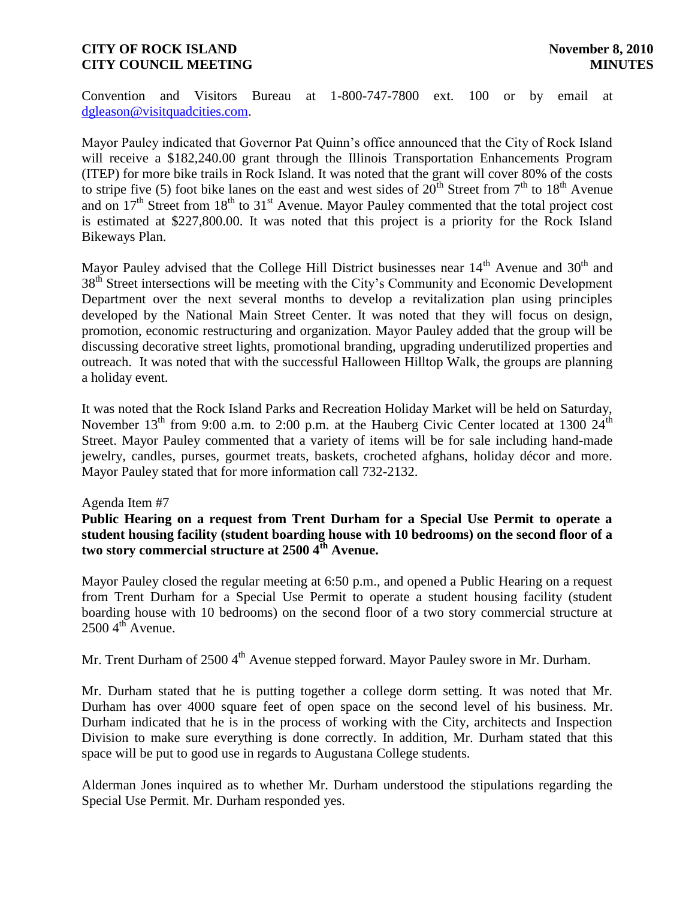Convention and Visitors Bureau at 1-800-747-7800 ext. 100 or by email at [dgleason@visitquadcities.com.](mailto:dgleason@visitquadcities.com)

Mayor Pauley indicated that Governor Pat Quinn's office announced that the City of Rock Island will receive a \$182,240.00 grant through the Illinois Transportation Enhancements Program (ITEP) for more bike trails in Rock Island. It was noted that the grant will cover 80% of the costs to stripe five (5) foot bike lanes on the east and west sides of  $20^{th}$  Street from  $7^{th}$  to  $18^{th}$  Avenue and on  $17<sup>th</sup>$  Street from  $18<sup>th</sup>$  to  $31<sup>st</sup>$  Avenue. Mayor Pauley commented that the total project cost is estimated at \$227,800.00. It was noted that this project is a priority for the Rock Island Bikeways Plan.

Mayor Pauley advised that the College Hill District businesses near  $14<sup>th</sup>$  Avenue and  $30<sup>th</sup>$  and 38<sup>th</sup> Street intersections will be meeting with the City's Community and Economic Development Department over the next several months to develop a revitalization plan using principles developed by the National Main Street Center. It was noted that they will focus on design, promotion, economic restructuring and organization. Mayor Pauley added that the group will be discussing decorative street lights, promotional branding, upgrading underutilized properties and outreach. It was noted that with the successful Halloween Hilltop Walk, the groups are planning a holiday event.

It was noted that the Rock Island Parks and Recreation Holiday Market will be held on Saturday, November  $13<sup>th</sup>$  from 9:00 a.m. to 2:00 p.m. at the Hauberg Civic Center located at 1300  $24<sup>th</sup>$ Street. Mayor Pauley commented that a variety of items will be for sale including hand-made jewelry, candles, purses, gourmet treats, baskets, crocheted afghans, holiday décor and more. Mayor Pauley stated that for more information call 732-2132.

## Agenda Item #7

**Public Hearing on a request from Trent Durham for a Special Use Permit to operate a student housing facility (student boarding house with 10 bedrooms) on the second floor of a two story commercial structure at 2500 4th Avenue.**

Mayor Pauley closed the regular meeting at 6:50 p.m., and opened a Public Hearing on a request from Trent Durham for a Special Use Permit to operate a student housing facility (student boarding house with 10 bedrooms) on the second floor of a two story commercial structure at  $2500\,4^{th}$  Avenue.

Mr. Trent Durham of  $2500\,4<sup>th</sup>$  Avenue stepped forward. Mayor Pauley swore in Mr. Durham.

Mr. Durham stated that he is putting together a college dorm setting. It was noted that Mr. Durham has over 4000 square feet of open space on the second level of his business. Mr. Durham indicated that he is in the process of working with the City, architects and Inspection Division to make sure everything is done correctly. In addition, Mr. Durham stated that this space will be put to good use in regards to Augustana College students.

Alderman Jones inquired as to whether Mr. Durham understood the stipulations regarding the Special Use Permit. Mr. Durham responded yes.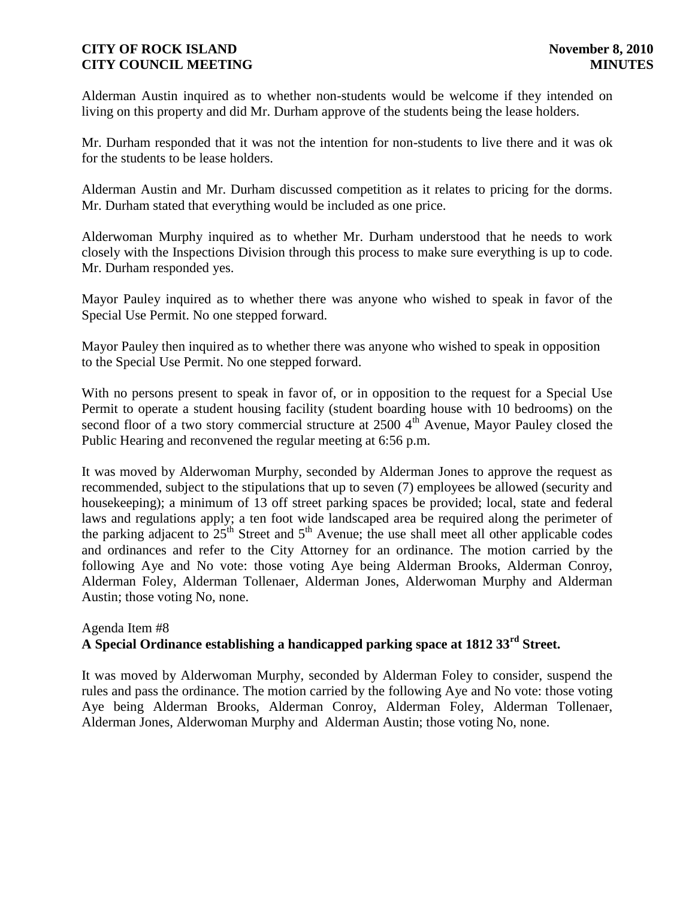Alderman Austin inquired as to whether non-students would be welcome if they intended on living on this property and did Mr. Durham approve of the students being the lease holders.

Mr. Durham responded that it was not the intention for non-students to live there and it was ok for the students to be lease holders.

Alderman Austin and Mr. Durham discussed competition as it relates to pricing for the dorms. Mr. Durham stated that everything would be included as one price.

Alderwoman Murphy inquired as to whether Mr. Durham understood that he needs to work closely with the Inspections Division through this process to make sure everything is up to code. Mr. Durham responded yes.

Mayor Pauley inquired as to whether there was anyone who wished to speak in favor of the Special Use Permit. No one stepped forward.

Mayor Pauley then inquired as to whether there was anyone who wished to speak in opposition to the Special Use Permit. No one stepped forward.

With no persons present to speak in favor of, or in opposition to the request for a Special Use Permit to operate a student housing facility (student boarding house with 10 bedrooms) on the second floor of a two story commercial structure at  $2500\,4<sup>th</sup>$  Avenue, Mayor Pauley closed the Public Hearing and reconvened the regular meeting at 6:56 p.m.

It was moved by Alderwoman Murphy, seconded by Alderman Jones to approve the request as recommended, subject to the stipulations that up to seven (7) employees be allowed (security and housekeeping); a minimum of 13 off street parking spaces be provided; local, state and federal laws and regulations apply; a ten foot wide landscaped area be required along the perimeter of the parking adjacent to  $25<sup>th</sup>$  Street and  $5<sup>th</sup>$  Avenue; the use shall meet all other applicable codes and ordinances and refer to the City Attorney for an ordinance. The motion carried by the following Aye and No vote: those voting Aye being Alderman Brooks, Alderman Conroy, Alderman Foley, Alderman Tollenaer, Alderman Jones, Alderwoman Murphy and Alderman Austin; those voting No, none.

## Agenda Item #8 **A Special Ordinance establishing a handicapped parking space at 1812 33rd Street.**

It was moved by Alderwoman Murphy, seconded by Alderman Foley to consider, suspend the rules and pass the ordinance. The motion carried by the following Aye and No vote: those voting Aye being Alderman Brooks, Alderman Conroy, Alderman Foley, Alderman Tollenaer, Alderman Jones, Alderwoman Murphy and Alderman Austin; those voting No, none.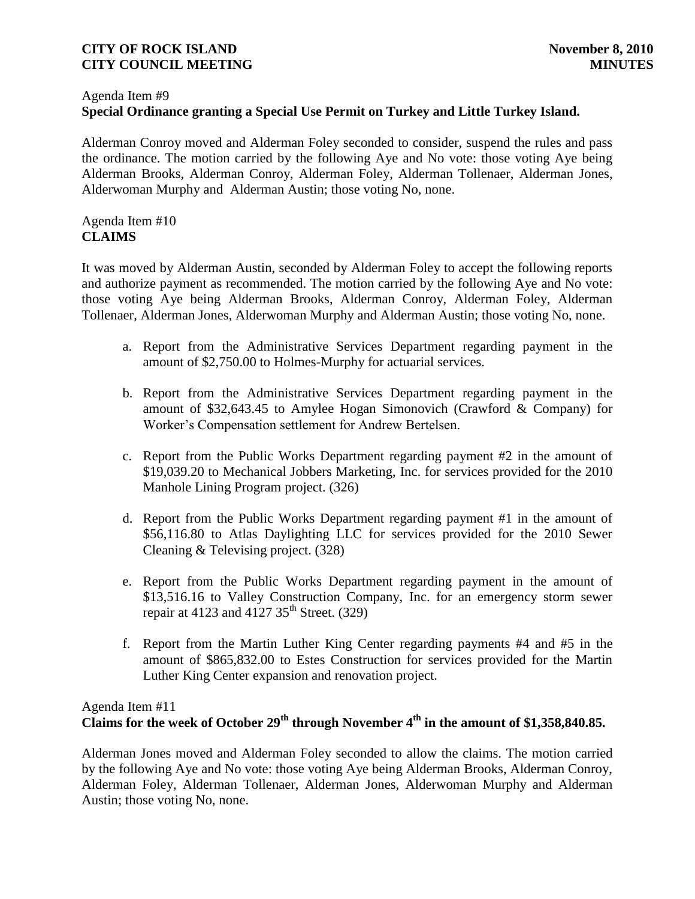#### Agenda Item #9

# **Special Ordinance granting a Special Use Permit on Turkey and Little Turkey Island.**

Alderman Conroy moved and Alderman Foley seconded to consider, suspend the rules and pass the ordinance. The motion carried by the following Aye and No vote: those voting Aye being Alderman Brooks, Alderman Conroy, Alderman Foley, Alderman Tollenaer, Alderman Jones, Alderwoman Murphy and Alderman Austin; those voting No, none.

# Agenda Item #10 **CLAIMS**

It was moved by Alderman Austin, seconded by Alderman Foley to accept the following reports and authorize payment as recommended. The motion carried by the following Aye and No vote: those voting Aye being Alderman Brooks, Alderman Conroy, Alderman Foley, Alderman Tollenaer, Alderman Jones, Alderwoman Murphy and Alderman Austin; those voting No, none.

- a. Report from the Administrative Services Department regarding payment in the amount of \$2,750.00 to Holmes-Murphy for actuarial services.
- b. Report from the Administrative Services Department regarding payment in the amount of \$32,643.45 to Amylee Hogan Simonovich (Crawford & Company) for Worker's Compensation settlement for Andrew Bertelsen.
- c. Report from the Public Works Department regarding payment #2 in the amount of \$19,039.20 to Mechanical Jobbers Marketing, Inc. for services provided for the 2010 Manhole Lining Program project. (326)
- d. Report from the Public Works Department regarding payment #1 in the amount of \$56,116.80 to Atlas Daylighting LLC for services provided for the 2010 Sewer Cleaning & Televising project. (328)
- e. Report from the Public Works Department regarding payment in the amount of \$13,516.16 to Valley Construction Company, Inc. for an emergency storm sewer repair at 4123 and 4127  $35<sup>th</sup>$  Street. (329)
- f. Report from the Martin Luther King Center regarding payments #4 and #5 in the amount of \$865,832.00 to Estes Construction for services provided for the Martin Luther King Center expansion and renovation project.

# Agenda Item #11 **Claims for the week of October 29th through November 4th in the amount of \$1,358,840.85.**

Alderman Jones moved and Alderman Foley seconded to allow the claims. The motion carried by the following Aye and No vote: those voting Aye being Alderman Brooks, Alderman Conroy, Alderman Foley, Alderman Tollenaer, Alderman Jones, Alderwoman Murphy and Alderman Austin; those voting No, none.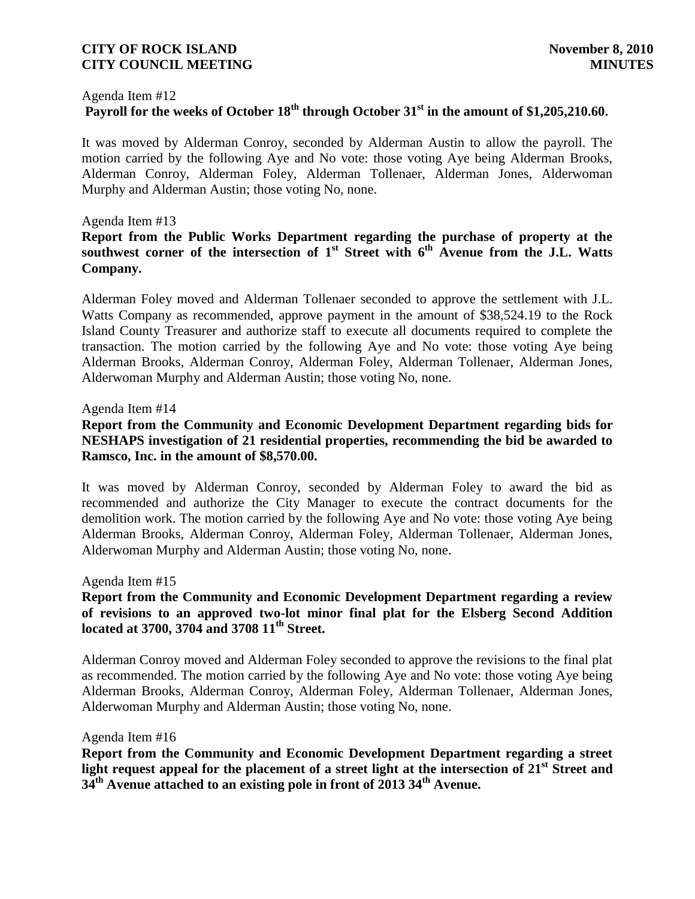#### Agenda Item #12

# **Payroll for the weeks of October 18th through October 31st in the amount of \$1,205,210.60.**

It was moved by Alderman Conroy, seconded by Alderman Austin to allow the payroll. The motion carried by the following Aye and No vote: those voting Aye being Alderman Brooks, Alderman Conroy, Alderman Foley, Alderman Tollenaer, Alderman Jones, Alderwoman Murphy and Alderman Austin; those voting No, none.

#### Agenda Item #13

# **Report from the Public Works Department regarding the purchase of property at the**  southwest corner of the intersection of 1<sup>st</sup> Street with 6<sup>th</sup> Avenue from the J.L. Watts **Company.**

Alderman Foley moved and Alderman Tollenaer seconded to approve the settlement with J.L. Watts Company as recommended, approve payment in the amount of \$38,524.19 to the Rock Island County Treasurer and authorize staff to execute all documents required to complete the transaction. The motion carried by the following Aye and No vote: those voting Aye being Alderman Brooks, Alderman Conroy, Alderman Foley, Alderman Tollenaer, Alderman Jones, Alderwoman Murphy and Alderman Austin; those voting No, none.

#### Agenda Item #14

# **Report from the Community and Economic Development Department regarding bids for NESHAPS investigation of 21 residential properties, recommending the bid be awarded to Ramsco, Inc. in the amount of \$8,570.00.**

It was moved by Alderman Conroy, seconded by Alderman Foley to award the bid as recommended and authorize the City Manager to execute the contract documents for the demolition work. The motion carried by the following Aye and No vote: those voting Aye being Alderman Brooks, Alderman Conroy, Alderman Foley, Alderman Tollenaer, Alderman Jones, Alderwoman Murphy and Alderman Austin; those voting No, none.

#### Agenda Item #15

## **Report from the Community and Economic Development Department regarding a review of revisions to an approved two-lot minor final plat for the Elsberg Second Addition located at 3700, 3704 and 3708 11th Street.**

Alderman Conroy moved and Alderman Foley seconded to approve the revisions to the final plat as recommended. The motion carried by the following Aye and No vote: those voting Aye being Alderman Brooks, Alderman Conroy, Alderman Foley, Alderman Tollenaer, Alderman Jones, Alderwoman Murphy and Alderman Austin; those voting No, none.

#### Agenda Item #16

**Report from the Community and Economic Development Department regarding a street light request appeal for the placement of a street light at the intersection of 21st Street and 34th Avenue attached to an existing pole in front of 2013 34th Avenue.**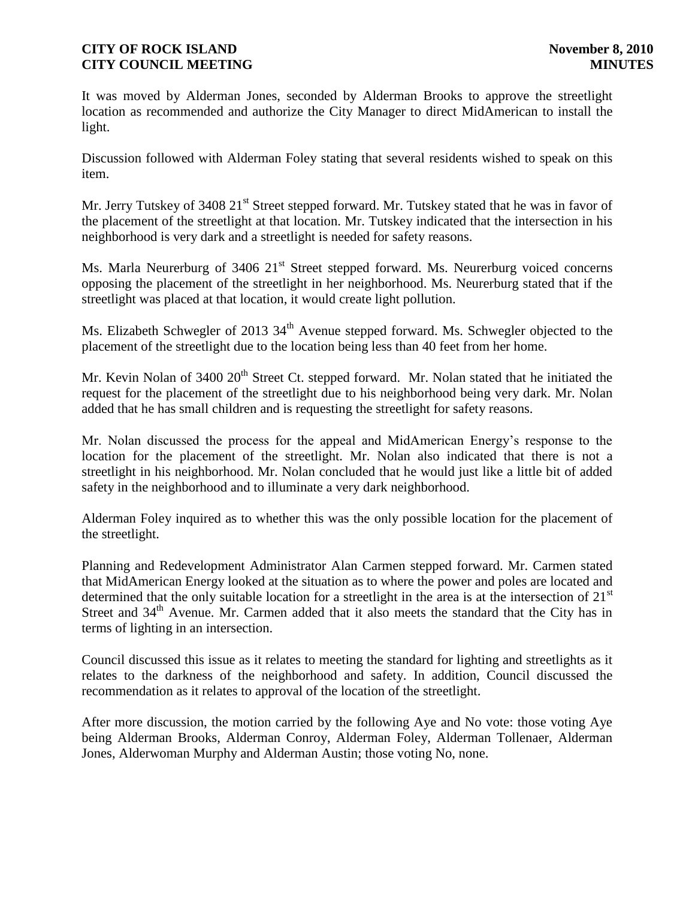It was moved by Alderman Jones, seconded by Alderman Brooks to approve the streetlight location as recommended and authorize the City Manager to direct MidAmerican to install the light.

Discussion followed with Alderman Foley stating that several residents wished to speak on this item.

Mr. Jerry Tutskey of 3408 21<sup>st</sup> Street stepped forward. Mr. Tutskey stated that he was in favor of the placement of the streetlight at that location. Mr. Tutskey indicated that the intersection in his neighborhood is very dark and a streetlight is needed for safety reasons.

Ms. Marla Neurerburg of 3406 21<sup>st</sup> Street stepped forward. Ms. Neurerburg voiced concerns opposing the placement of the streetlight in her neighborhood. Ms. Neurerburg stated that if the streetlight was placed at that location, it would create light pollution.

Ms. Elizabeth Schwegler of 2013 34<sup>th</sup> Avenue stepped forward. Ms. Schwegler objected to the placement of the streetlight due to the location being less than 40 feet from her home.

Mr. Kevin Nolan of  $3400 \times 20^{th}$  Street Ct. stepped forward. Mr. Nolan stated that he initiated the request for the placement of the streetlight due to his neighborhood being very dark. Mr. Nolan added that he has small children and is requesting the streetlight for safety reasons.

Mr. Nolan discussed the process for the appeal and MidAmerican Energy's response to the location for the placement of the streetlight. Mr. Nolan also indicated that there is not a streetlight in his neighborhood. Mr. Nolan concluded that he would just like a little bit of added safety in the neighborhood and to illuminate a very dark neighborhood.

Alderman Foley inquired as to whether this was the only possible location for the placement of the streetlight.

Planning and Redevelopment Administrator Alan Carmen stepped forward. Mr. Carmen stated that MidAmerican Energy looked at the situation as to where the power and poles are located and determined that the only suitable location for a streetlight in the area is at the intersection of  $21<sup>st</sup>$ Street and  $34<sup>th</sup>$  Avenue. Mr. Carmen added that it also meets the standard that the City has in terms of lighting in an intersection.

Council discussed this issue as it relates to meeting the standard for lighting and streetlights as it relates to the darkness of the neighborhood and safety. In addition, Council discussed the recommendation as it relates to approval of the location of the streetlight.

After more discussion, the motion carried by the following Aye and No vote: those voting Aye being Alderman Brooks, Alderman Conroy, Alderman Foley, Alderman Tollenaer, Alderman Jones, Alderwoman Murphy and Alderman Austin; those voting No, none.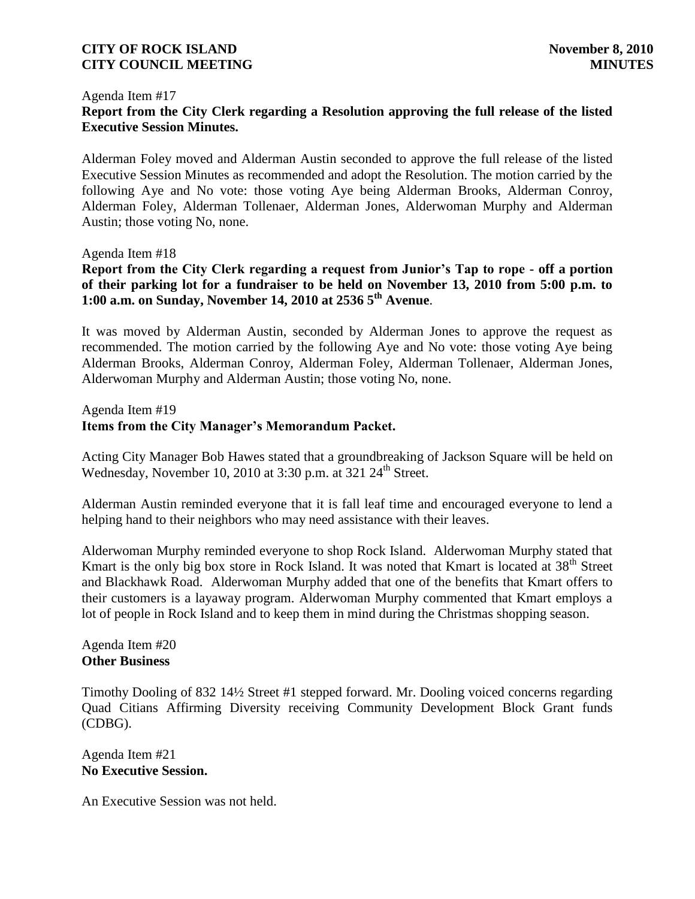#### Agenda Item #17 **Report from the City Clerk regarding a Resolution approving the full release of the listed Executive Session Minutes.**

Alderman Foley moved and Alderman Austin seconded to approve the full release of the listed Executive Session Minutes as recommended and adopt the Resolution. The motion carried by the following Aye and No vote: those voting Aye being Alderman Brooks, Alderman Conroy, Alderman Foley, Alderman Tollenaer, Alderman Jones, Alderwoman Murphy and Alderman Austin; those voting No, none.

Agenda Item #18

**Report from the City Clerk regarding a request from Junior's Tap to rope - off a portion of their parking lot for a fundraiser to be held on November 13, 2010 from 5:00 p.m. to 1:00 a.m. on Sunday, November 14, 2010 at 2536 5th Avenue**.

It was moved by Alderman Austin, seconded by Alderman Jones to approve the request as recommended. The motion carried by the following Aye and No vote: those voting Aye being Alderman Brooks, Alderman Conroy, Alderman Foley, Alderman Tollenaer, Alderman Jones, Alderwoman Murphy and Alderman Austin; those voting No, none.

## Agenda Item #19 **Items from the City Manager's Memorandum Packet.**

Acting City Manager Bob Hawes stated that a groundbreaking of Jackson Square will be held on Wednesday, November 10, 2010 at  $3:30$  p.m. at  $321$   $24<sup>th</sup>$  Street.

Alderman Austin reminded everyone that it is fall leaf time and encouraged everyone to lend a helping hand to their neighbors who may need assistance with their leaves.

Alderwoman Murphy reminded everyone to shop Rock Island. Alderwoman Murphy stated that Kmart is the only big box store in Rock Island. It was noted that Kmart is located at 38<sup>th</sup> Street and Blackhawk Road. Alderwoman Murphy added that one of the benefits that Kmart offers to their customers is a layaway program. Alderwoman Murphy commented that Kmart employs a lot of people in Rock Island and to keep them in mind during the Christmas shopping season.

Agenda Item #20 **Other Business**

Timothy Dooling of 832 14½ Street #1 stepped forward. Mr. Dooling voiced concerns regarding Quad Citians Affirming Diversity receiving Community Development Block Grant funds (CDBG).

Agenda Item #21 **No Executive Session.** 

An Executive Session was not held.